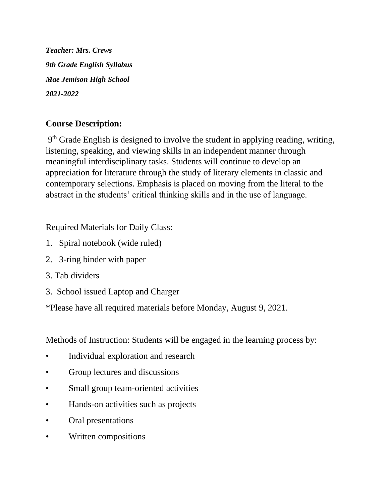*Teacher: Mrs. Crews 9th Grade English Syllabus Mae Jemison High School 2021-2022*

# **Course Description:**

9<sup>th</sup> Grade English is designed to involve the student in applying reading, writing, listening, speaking, and viewing skills in an independent manner through meaningful interdisciplinary tasks. Students will continue to develop an appreciation for literature through the study of literary elements in classic and contemporary selections. Emphasis is placed on moving from the literal to the abstract in the students' critical thinking skills and in the use of language.

Required Materials for Daily Class:

- 1. Spiral notebook (wide ruled)
- 2. 3-ring binder with paper
- 3. Tab dividers
- 3. School issued Laptop and Charger

\*Please have all required materials before Monday, August 9, 2021.

Methods of Instruction: Students will be engaged in the learning process by:

- Individual exploration and research
- Group lectures and discussions
- Small group team-oriented activities
- Hands-on activities such as projects
- Oral presentations
- Written compositions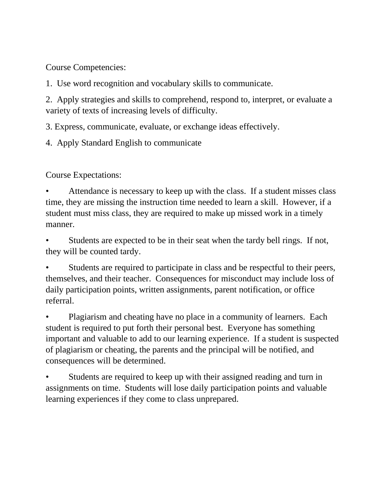Course Competencies:

1. Use word recognition and vocabulary skills to communicate.

2. Apply strategies and skills to comprehend, respond to, interpret, or evaluate a variety of texts of increasing levels of difficulty.

3. Express, communicate, evaluate, or exchange ideas effectively.

4. Apply Standard English to communicate

Course Expectations:

• Attendance is necessary to keep up with the class. If a student misses class time, they are missing the instruction time needed to learn a skill. However, if a student must miss class, they are required to make up missed work in a timely manner.

Students are expected to be in their seat when the tardy bell rings. If not, they will be counted tardy.

Students are required to participate in class and be respectful to their peers, themselves, and their teacher. Consequences for misconduct may include loss of daily participation points, written assignments, parent notification, or office referral.

• Plagiarism and cheating have no place in a community of learners. Each student is required to put forth their personal best. Everyone has something important and valuable to add to our learning experience. If a student is suspected of plagiarism or cheating, the parents and the principal will be notified, and consequences will be determined.

Students are required to keep up with their assigned reading and turn in assignments on time. Students will lose daily participation points and valuable learning experiences if they come to class unprepared.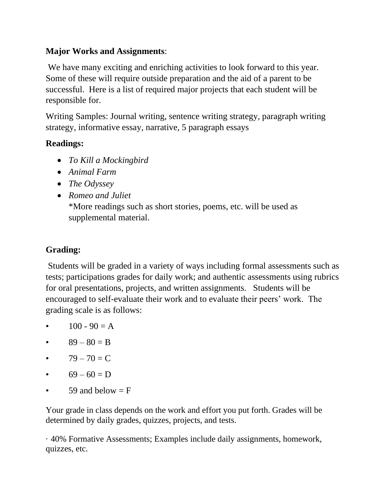### **Major Works and Assignments**:

We have many exciting and enriching activities to look forward to this year. Some of these will require outside preparation and the aid of a parent to be successful. Here is a list of required major projects that each student will be responsible for.

Writing Samples: Journal writing, sentence writing strategy, paragraph writing strategy, informative essay, narrative, 5 paragraph essays

## **Readings:**

- *To Kill a Mockingbird*
- *Animal Farm*
- *The Odyssey*
- *Romeo and Juliet* \*More readings such as short stories, poems, etc. will be used as supplemental material.

# **Grading:**

Students will be graded in a variety of ways including formal assessments such as tests; participations grades for daily work; and authentic assessments using rubrics for oral presentations, projects, and written assignments. Students will be encouraged to self-evaluate their work and to evaluate their peers' work. The grading scale is as follows:

- $100 90 = A$
- $89 80 = B$
- $79 70 = C$
- $69 60 = D$
- 59 and below  $=$  F

Your grade in class depends on the work and effort you put forth. Grades will be determined by daily grades, quizzes, projects, and tests.

· 40% Formative Assessments; Examples include daily assignments, homework, quizzes, etc.